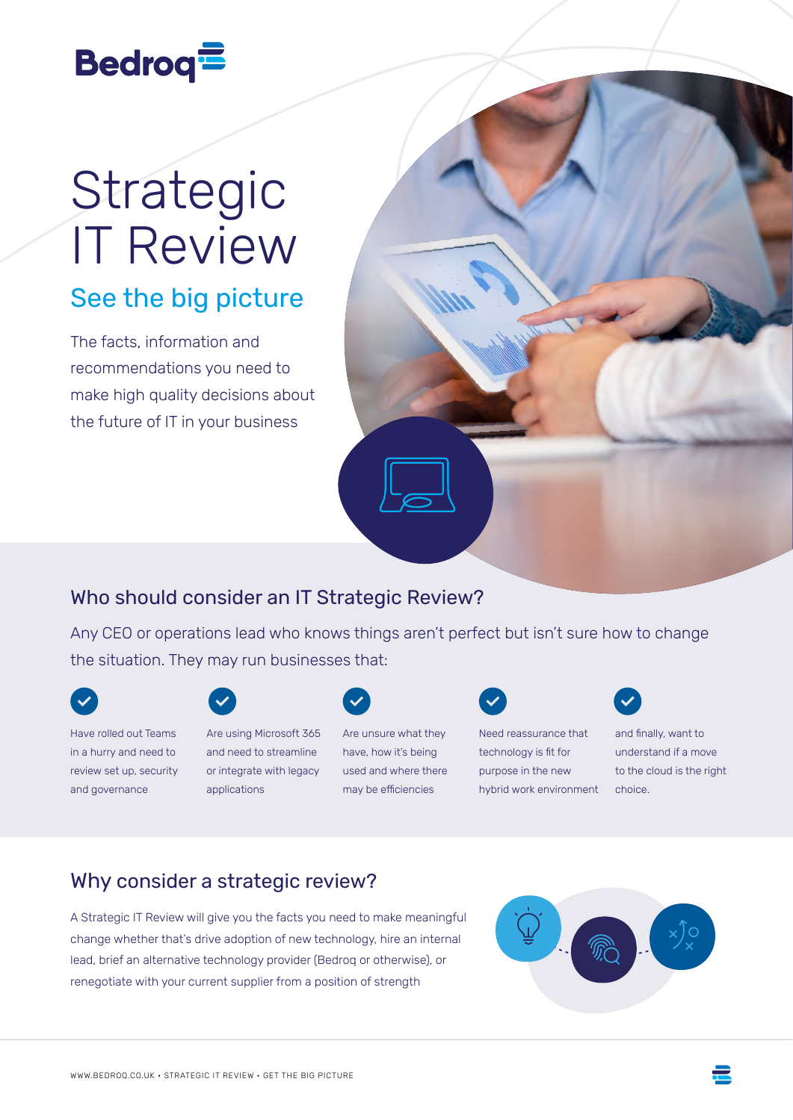# **Bedroq<sup>1</sup>**

# Strategic IT Review

## See the big picture

The facts, information and recommendations you need to make high quality decisions about the future of IT in your business



#### Who should consider an IT Strategic Review?

Any CEO or operations lead who knows things aren't perfect but isn't sure how to change the situation. They may run businesses that:



Have rolled out Teams

in a hurry and need to review set up, security and governance



Are using Microsoft 365 and need to streamline or integrate with legacy applications



Are unsure what they have, how it's being used and where there may be efficiencies

Need reassurance that technology is fit for

purpose in the new hybrid work environment



and finally, want to understand if a move to the cloud is the right choice.

### Why consider a strategic review?

A Strategic IT Review will give you the facts you need to make meaningful change whether that's drive adoption of new technology, hire an internal lead, brief an alternative technology provider (Bedroq or otherwise), or renegotiate with your current supplier from a position of strength